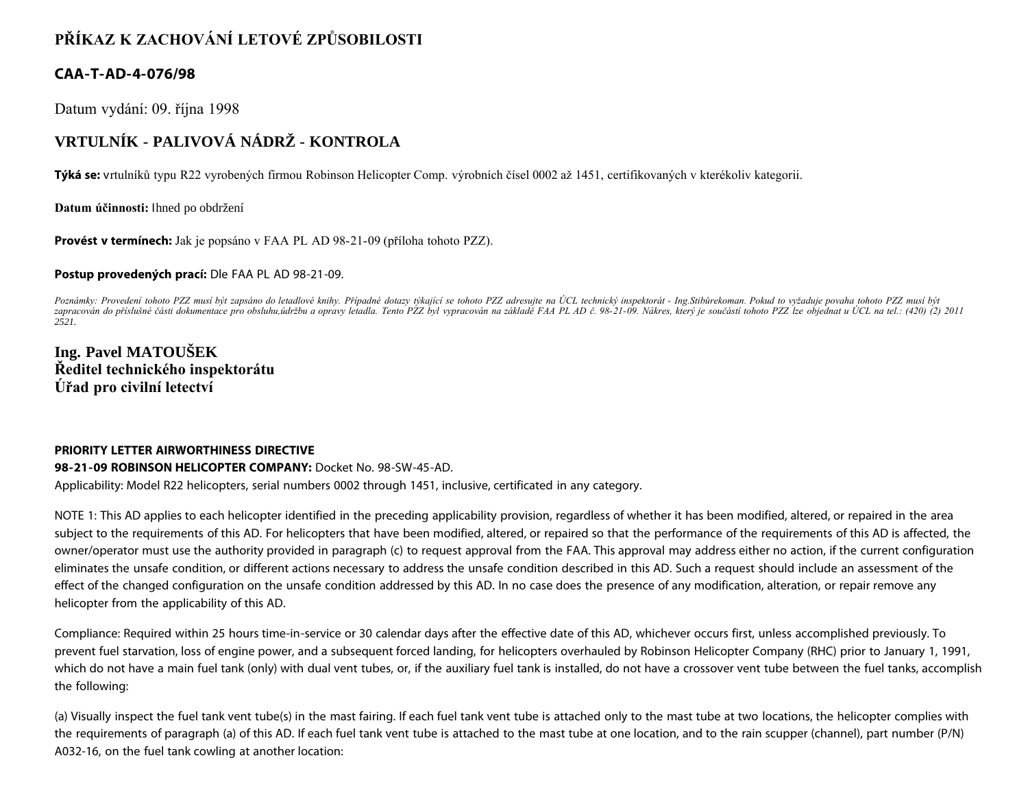# **PŘÍKAZ K ZACHOVÁNÍ LETOVÉ ZPŮSOBILOSTI**

## **CAA-T-AD-4-076/98**

Datum vydání: 09. října 1998

# **VRTULNÍK - PALIVOVÁ NÁDRŽ - KONTROLA**

**Týká se:** vrtulníků typu R22 vyrobených firmou Robinson Helicopter Comp. výrobních čísel 0002 až 1451, certifikovaných v kterékoliv kategorii.

**Datum účinnosti:** Ihned po obdržení

**Provést v termínech:** Jak je popsáno v FAA PL AD 98-21-09 (příloha tohoto PZZ).

#### **Postup provedených prací:** Dle FAA PL AD 98-21-09.

*Poznámky: Provedení tohoto PZZ musí být zapsáno do letadlové knihy. Případné dotazy týkající se tohoto PZZ adresujte na ÚCL technický inspektorát - Ing.Stibůrekoman. Pokud to vyžaduje povaha tohoto PZZ musí být zapracován do příslušné části dokumentace pro obsluhu,údržbu a opravy letadla. Tento PZZ byl vypracován na základě FAA PL AD č. 98-21-09. Nákres, který je součástí tohoto PZZ lze objednat u ÚCL na tel.: (420) (2) 2011 2521.*

## **Ing. Pavel MATOUŠEK Ředitel technického inspektorátu Úřad pro civilní letectví**

### **PRIORITY LETTER AIRWORTHINESS DIRECTIVE**

### **98-21-09 ROBINSON HELICOPTER COMPANY:** Docket No. 98-SW-45-AD.

Applicability: Model R22 helicopters, serial numbers 0002 through 1451, inclusive, certificated in any category.

NOTE 1: This AD applies to each helicopter identified in the preceding applicability provision, regardless of whether it has been modified, altered, or repaired in the area subject to the requirements of this AD. For helicopters that have been modified, altered, or repaired so that the performance of the requirements of this AD is affected, the owner/operator must use the authority provided in paragraph (c) to request approval from the FAA. This approval may address either no action, if the current configuration eliminates the unsafe condition, or different actions necessary to address the unsafe condition described in this AD. Such a request should include an assessment of the effect of the changed configuration on the unsafe condition addressed by this AD. In no case does the presence of any modification, alteration, or repair remove any helicopter from the applicability of this AD.

Compliance: Required within 25 hours time-in-service or 30 calendar days after the effective date of this AD, whichever occurs first, unless accomplished previously. To prevent fuel starvation, loss of engine power, and a subsequent forced landing, for helicopters overhauled by Robinson Helicopter Company (RHC) prior to January 1, 1991, which do not have a main fuel tank (only) with dual vent tubes, or, if the auxiliary fuel tank is installed, do not have a crossover vent tube between the fuel tanks, accomplish the following:

(a) Visually inspect the fuel tank vent tube(s) in the mast fairing. If each fuel tank vent tube is attached only to the mast tube at two locations, the helicopter complies with the requirements of paragraph (a) of this AD. If each fuel tank vent tube is attached to the mast tube at one location, and to the rain scupper (channel), part number (P/N) A032-16, on the fuel tank cowling at another location: